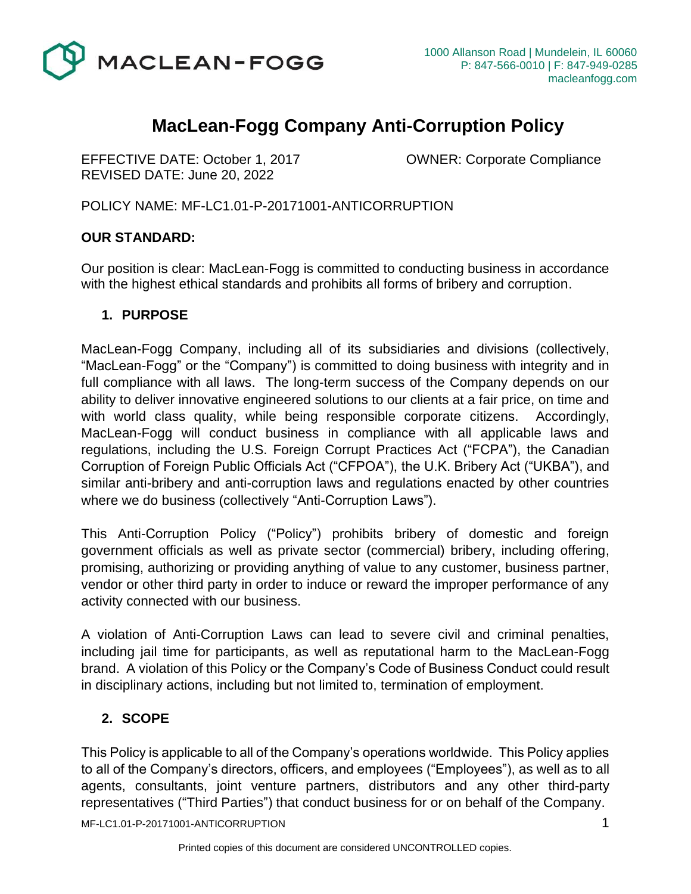

# **MacLean-Fogg Company Anti-Corruption Policy**

EFFECTIVE DATE: October 1, 2017 OWNER: Corporate Compliance REVISED DATE: June 20, 2022

POLICY NAME: MF-LC1.01-P-20171001-ANTICORRUPTION

#### **OUR STANDARD:**

Our position is clear: MacLean-Fogg is committed to conducting business in accordance with the highest ethical standards and prohibits all forms of bribery and corruption.

#### **1. PURPOSE**

MacLean-Fogg Company, including all of its subsidiaries and divisions (collectively, "MacLean-Fogg" or the "Company") is committed to doing business with integrity and in full compliance with all laws. The long-term success of the Company depends on our ability to deliver innovative engineered solutions to our clients at a fair price, on time and with world class quality, while being responsible corporate citizens. Accordingly, MacLean-Fogg will conduct business in compliance with all applicable laws and regulations, including the U.S. Foreign Corrupt Practices Act ("FCPA"), the Canadian Corruption of Foreign Public Officials Act ("CFPOA"), the U.K. Bribery Act ("UKBA"), and similar anti-bribery and anti-corruption laws and regulations enacted by other countries where we do business (collectively "Anti-Corruption Laws").

This Anti-Corruption Policy ("Policy") prohibits bribery of domestic and foreign government officials as well as private sector (commercial) bribery, including offering, promising, authorizing or providing anything of value to any customer, business partner, vendor or other third party in order to induce or reward the improper performance of any activity connected with our business.

A violation of Anti-Corruption Laws can lead to severe civil and criminal penalties, including jail time for participants, as well as reputational harm to the MacLean-Fogg brand. A violation of this Policy or the Company's Code of Business Conduct could result in disciplinary actions, including but not limited to, termination of employment.

### **2. SCOPE**

MF-LC1.01-P-20171001-ANTICORRUPTION 1 This Policy is applicable to all of the Company's operations worldwide. This Policy applies to all of the Company's directors, officers, and employees ("Employees"), as well as to all agents, consultants, joint venture partners, distributors and any other third-party representatives ("Third Parties") that conduct business for or on behalf of the Company.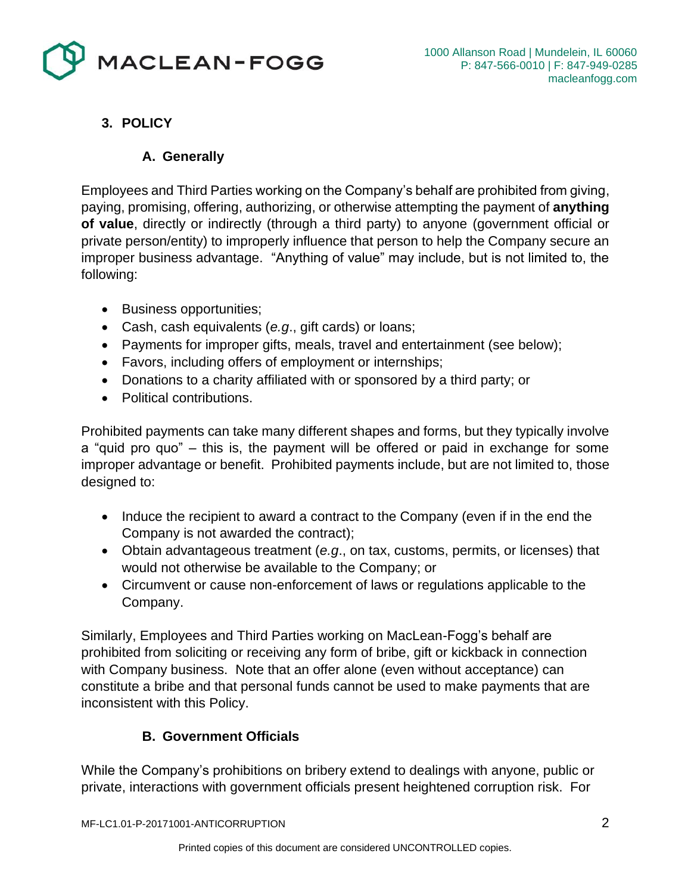

# **3. POLICY**

## **A. Generally**

Employees and Third Parties working on the Company's behalf are prohibited from giving, paying, promising, offering, authorizing, or otherwise attempting the payment of **anything of value**, directly or indirectly (through a third party) to anyone (government official or private person/entity) to improperly influence that person to help the Company secure an improper business advantage. "Anything of value" may include, but is not limited to, the following:

- Business opportunities;
- Cash, cash equivalents (*e.g*., gift cards) or loans;
- Payments for improper gifts, meals, travel and entertainment (see below);
- Favors, including offers of employment or internships;
- Donations to a charity affiliated with or sponsored by a third party; or
- Political contributions.

Prohibited payments can take many different shapes and forms, but they typically involve a "quid pro quo" – this is, the payment will be offered or paid in exchange for some improper advantage or benefit. Prohibited payments include, but are not limited to, those designed to:

- Induce the recipient to award a contract to the Company (even if in the end the Company is not awarded the contract);
- Obtain advantageous treatment (*e.g*., on tax, customs, permits, or licenses) that would not otherwise be available to the Company; or
- Circumvent or cause non-enforcement of laws or regulations applicable to the Company.

Similarly, Employees and Third Parties working on MacLean-Fogg's behalf are prohibited from soliciting or receiving any form of bribe, gift or kickback in connection with Company business. Note that an offer alone (even without acceptance) can constitute a bribe and that personal funds cannot be used to make payments that are inconsistent with this Policy.

### **B. Government Officials**

While the Company's prohibitions on bribery extend to dealings with anyone, public or private, interactions with government officials present heightened corruption risk. For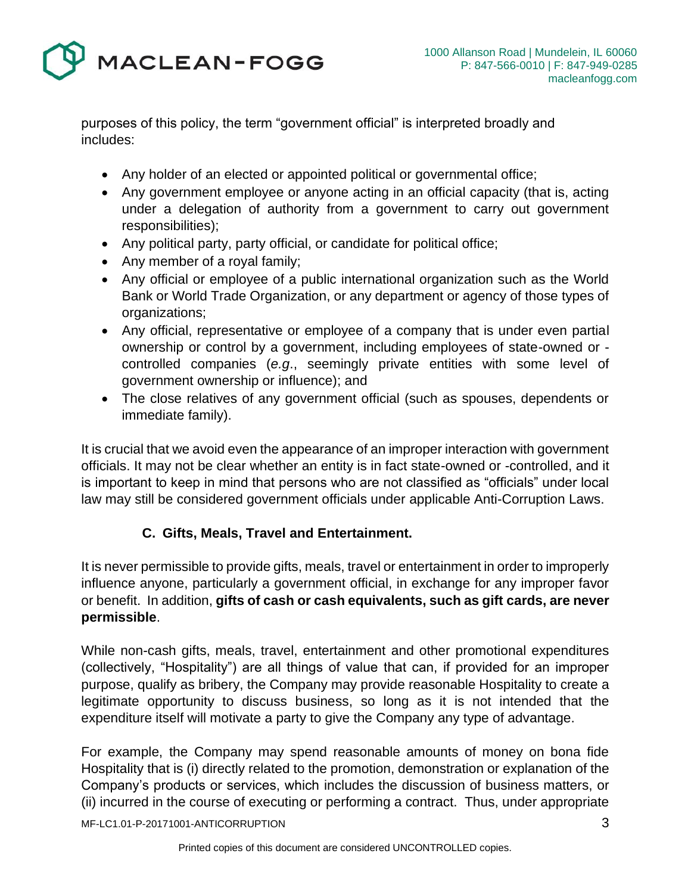

purposes of this policy, the term "government official" is interpreted broadly and includes:

- Any holder of an elected or appointed political or governmental office;
- Any government employee or anyone acting in an official capacity (that is, acting under a delegation of authority from a government to carry out government responsibilities);
- Any political party, party official, or candidate for political office;
- Any member of a royal family;
- Any official or employee of a public international organization such as the World Bank or World Trade Organization, or any department or agency of those types of organizations;
- Any official, representative or employee of a company that is under even partial ownership or control by a government, including employees of state-owned or controlled companies (*e.g*., seemingly private entities with some level of government ownership or influence); and
- The close relatives of any government official (such as spouses, dependents or immediate family).

It is crucial that we avoid even the appearance of an improper interaction with government officials. It may not be clear whether an entity is in fact state-owned or -controlled, and it is important to keep in mind that persons who are not classified as "officials" under local law may still be considered government officials under applicable Anti-Corruption Laws.

## **C. Gifts, Meals, Travel and Entertainment.**

It is never permissible to provide gifts, meals, travel or entertainment in order to improperly influence anyone, particularly a government official, in exchange for any improper favor or benefit. In addition, **gifts of cash or cash equivalents, such as gift cards, are never permissible**.

While non-cash gifts, meals, travel, entertainment and other promotional expenditures (collectively, "Hospitality") are all things of value that can, if provided for an improper purpose, qualify as bribery, the Company may provide reasonable Hospitality to create a legitimate opportunity to discuss business, so long as it is not intended that the expenditure itself will motivate a party to give the Company any type of advantage.

For example, the Company may spend reasonable amounts of money on bona fide Hospitality that is (i) directly related to the promotion, demonstration or explanation of the Company's products or services, which includes the discussion of business matters, or (ii) incurred in the course of executing or performing a contract. Thus, under appropriate

MF-LC1.01-P-20171001-ANTICORRUPTION 3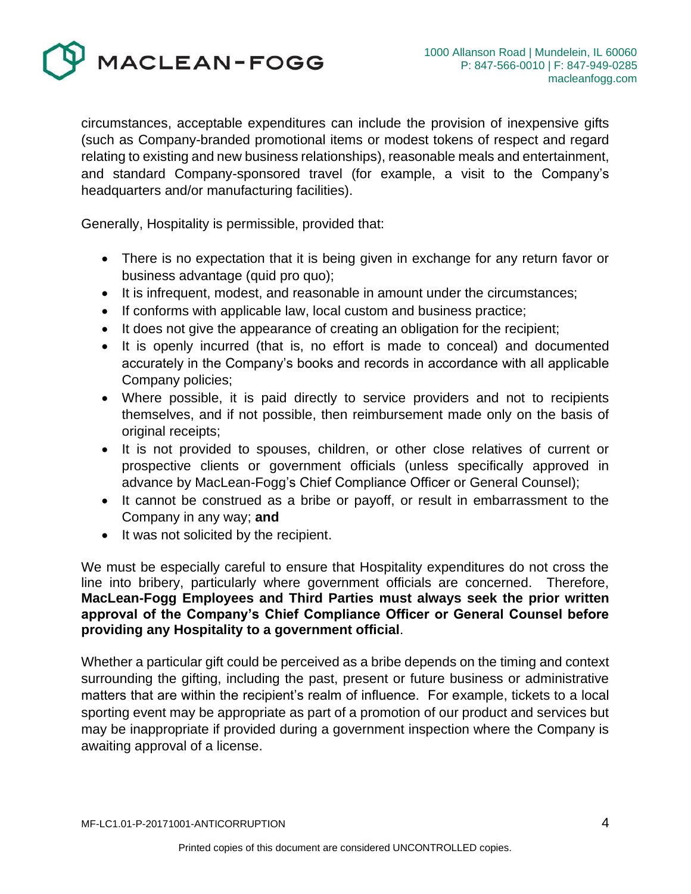

circumstances, acceptable expenditures can include the provision of inexpensive gifts (such as Company-branded promotional items or modest tokens of respect and regard relating to existing and new business relationships), reasonable meals and entertainment, and standard Company-sponsored travel (for example, a visit to the Company's headquarters and/or manufacturing facilities).

Generally, Hospitality is permissible, provided that:

- There is no expectation that it is being given in exchange for any return favor or business advantage (quid pro quo);
- It is infrequent, modest, and reasonable in amount under the circumstances;
- If conforms with applicable law, local custom and business practice;
- It does not give the appearance of creating an obligation for the recipient;
- It is openly incurred (that is, no effort is made to conceal) and documented accurately in the Company's books and records in accordance with all applicable Company policies;
- Where possible, it is paid directly to service providers and not to recipients themselves, and if not possible, then reimbursement made only on the basis of original receipts;
- It is not provided to spouses, children, or other close relatives of current or prospective clients or government officials (unless specifically approved in advance by MacLean-Fogg's Chief Compliance Officer or General Counsel);
- It cannot be construed as a bribe or payoff, or result in embarrassment to the Company in any way; **and**
- It was not solicited by the recipient.

We must be especially careful to ensure that Hospitality expenditures do not cross the line into bribery, particularly where government officials are concerned. Therefore, **MacLean-Fogg Employees and Third Parties must always seek the prior written approval of the Company's Chief Compliance Officer or General Counsel before providing any Hospitality to a government official**.

Whether a particular gift could be perceived as a bribe depends on the timing and context surrounding the gifting, including the past, present or future business or administrative matters that are within the recipient's realm of influence. For example, tickets to a local sporting event may be appropriate as part of a promotion of our product and services but may be inappropriate if provided during a government inspection where the Company is awaiting approval of a license.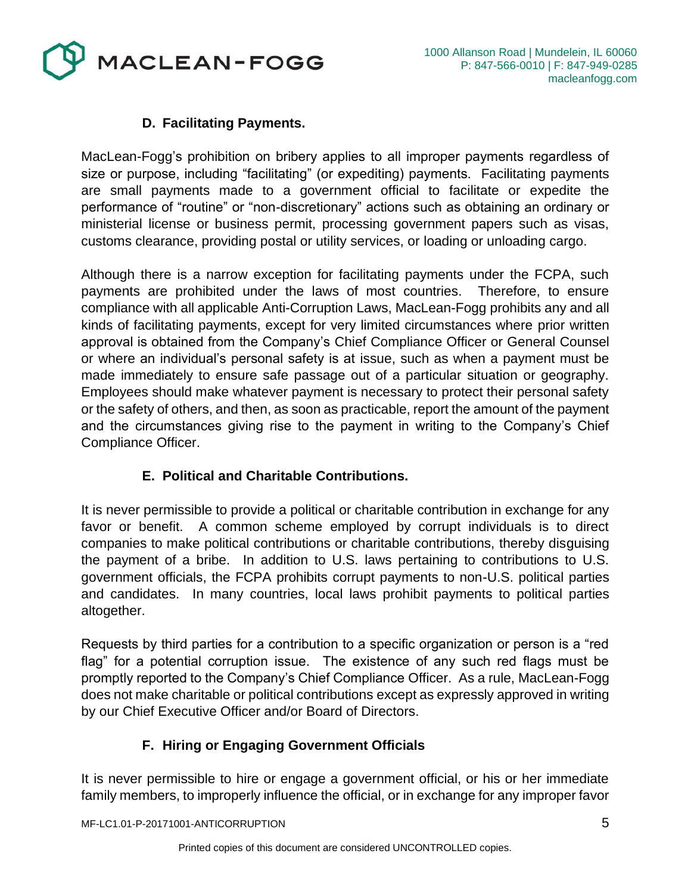

## **D. Facilitating Payments.**

MacLean-Fogg's prohibition on bribery applies to all improper payments regardless of size or purpose, including "facilitating" (or expediting) payments. Facilitating payments are small payments made to a government official to facilitate or expedite the performance of "routine" or "non-discretionary" actions such as obtaining an ordinary or ministerial license or business permit, processing government papers such as visas, customs clearance, providing postal or utility services, or loading or unloading cargo.

Although there is a narrow exception for facilitating payments under the FCPA, such payments are prohibited under the laws of most countries. Therefore, to ensure compliance with all applicable Anti-Corruption Laws, MacLean-Fogg prohibits any and all kinds of facilitating payments, except for very limited circumstances where prior written approval is obtained from the Company's Chief Compliance Officer or General Counsel or where an individual's personal safety is at issue, such as when a payment must be made immediately to ensure safe passage out of a particular situation or geography. Employees should make whatever payment is necessary to protect their personal safety or the safety of others, and then, as soon as practicable, report the amount of the payment and the circumstances giving rise to the payment in writing to the Company's Chief Compliance Officer.

## **E. Political and Charitable Contributions.**

It is never permissible to provide a political or charitable contribution in exchange for any favor or benefit. A common scheme employed by corrupt individuals is to direct companies to make political contributions or charitable contributions, thereby disguising the payment of a bribe. In addition to U.S. laws pertaining to contributions to U.S. government officials, the FCPA prohibits corrupt payments to non-U.S. political parties and candidates. In many countries, local laws prohibit payments to political parties altogether.

Requests by third parties for a contribution to a specific organization or person is a "red flag" for a potential corruption issue. The existence of any such red flags must be promptly reported to the Company's Chief Compliance Officer. As a rule, MacLean-Fogg does not make charitable or political contributions except as expressly approved in writing by our Chief Executive Officer and/or Board of Directors.

## **F. Hiring or Engaging Government Officials**

It is never permissible to hire or engage a government official, or his or her immediate family members, to improperly influence the official, or in exchange for any improper favor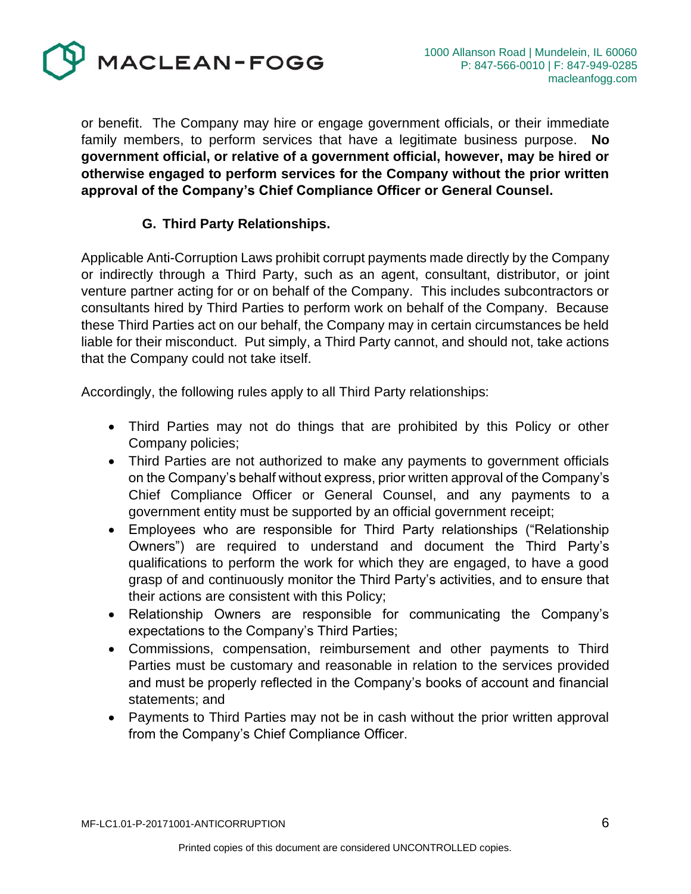

or benefit. The Company may hire or engage government officials, or their immediate family members, to perform services that have a legitimate business purpose. **government official, or relative of a government official, however, may be hired or otherwise engaged to perform services for the Company without the prior written approval of the Company's Chief Compliance Officer or General Counsel.**

### **G. Third Party Relationships.**

Applicable Anti-Corruption Laws prohibit corrupt payments made directly by the Company or indirectly through a Third Party, such as an agent, consultant, distributor, or joint venture partner acting for or on behalf of the Company. This includes subcontractors or consultants hired by Third Parties to perform work on behalf of the Company. Because these Third Parties act on our behalf, the Company may in certain circumstances be held liable for their misconduct. Put simply, a Third Party cannot, and should not, take actions that the Company could not take itself.

Accordingly, the following rules apply to all Third Party relationships:

- Third Parties may not do things that are prohibited by this Policy or other Company policies;
- Third Parties are not authorized to make any payments to government officials on the Company's behalf without express, prior written approval of the Company's Chief Compliance Officer or General Counsel, and any payments to a government entity must be supported by an official government receipt;
- Employees who are responsible for Third Party relationships ("Relationship Owners") are required to understand and document the Third Party's qualifications to perform the work for which they are engaged, to have a good grasp of and continuously monitor the Third Party's activities, and to ensure that their actions are consistent with this Policy;
- Relationship Owners are responsible for communicating the Company's expectations to the Company's Third Parties;
- Commissions, compensation, reimbursement and other payments to Third Parties must be customary and reasonable in relation to the services provided and must be properly reflected in the Company's books of account and financial statements; and
- Payments to Third Parties may not be in cash without the prior written approval from the Company's Chief Compliance Officer.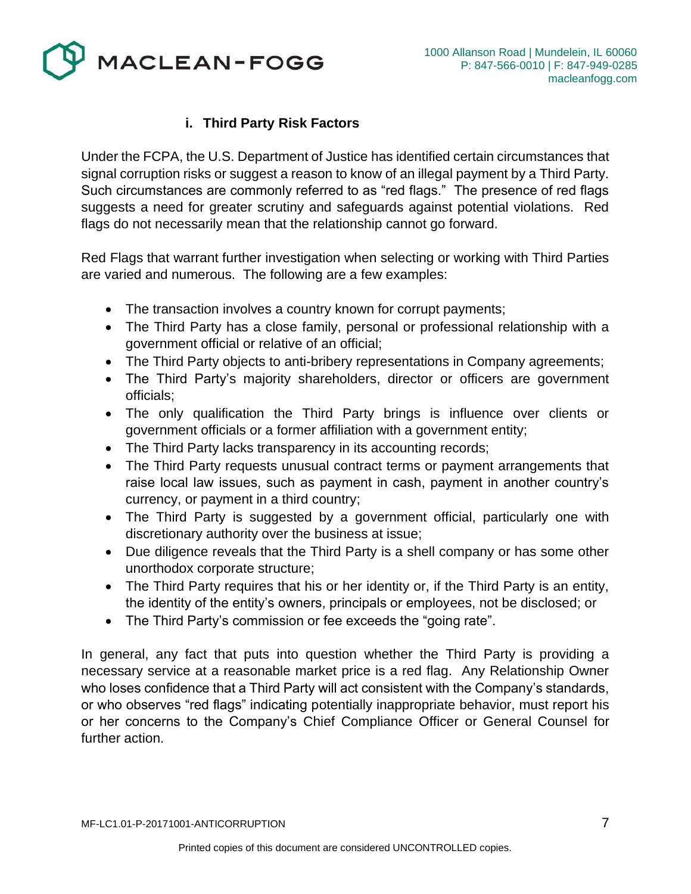MACLEAN-FOGG

# **i. Third Party Risk Factors**

Under the FCPA, the U.S. Department of Justice has identified certain circumstances that signal corruption risks or suggest a reason to know of an illegal payment by a Third Party. Such circumstances are commonly referred to as "red flags." The presence of red flags suggests a need for greater scrutiny and safeguards against potential violations. Red flags do not necessarily mean that the relationship cannot go forward.

Red Flags that warrant further investigation when selecting or working with Third Parties are varied and numerous. The following are a few examples:

- The transaction involves a country known for corrupt payments;
- The Third Party has a close family, personal or professional relationship with a government official or relative of an official;
- The Third Party objects to anti-bribery representations in Company agreements;
- The Third Party's majority shareholders, director or officers are government officials;
- The only qualification the Third Party brings is influence over clients or government officials or a former affiliation with a government entity;
- The Third Party lacks transparency in its accounting records;
- The Third Party requests unusual contract terms or payment arrangements that raise local law issues, such as payment in cash, payment in another country's currency, or payment in a third country;
- The Third Party is suggested by a government official, particularly one with discretionary authority over the business at issue;
- Due diligence reveals that the Third Party is a shell company or has some other unorthodox corporate structure;
- The Third Party requires that his or her identity or, if the Third Party is an entity, the identity of the entity's owners, principals or employees, not be disclosed; or
- The Third Party's commission or fee exceeds the "going rate".

In general, any fact that puts into question whether the Third Party is providing a necessary service at a reasonable market price is a red flag. Any Relationship Owner who loses confidence that a Third Party will act consistent with the Company's standards, or who observes "red flags" indicating potentially inappropriate behavior, must report his or her concerns to the Company's Chief Compliance Officer or General Counsel for further action.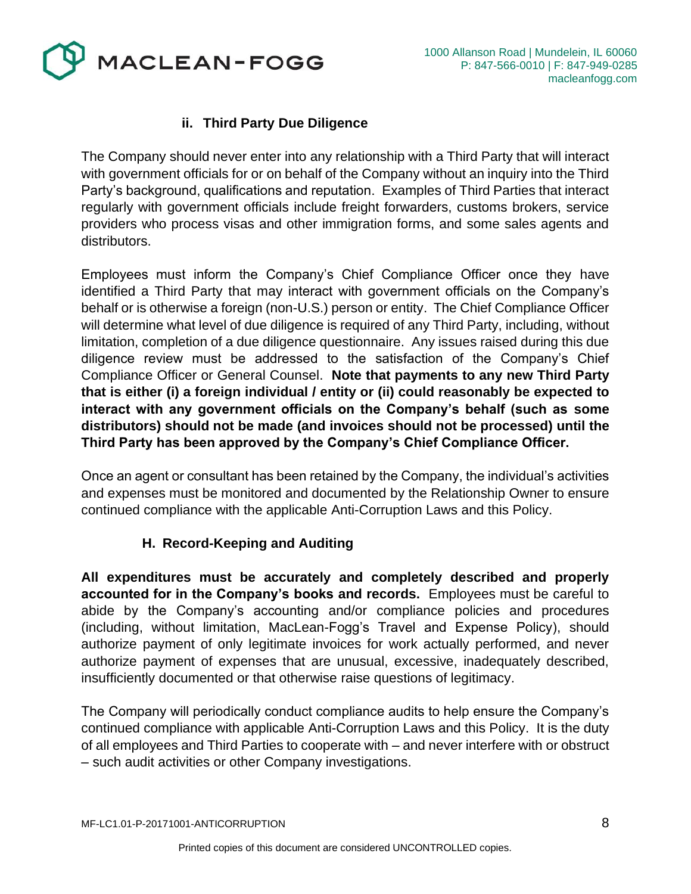MACLEAN-FOGG

# **ii. Third Party Due Diligence**

The Company should never enter into any relationship with a Third Party that will interact with government officials for or on behalf of the Company without an inquiry into the Third Party's background, qualifications and reputation. Examples of Third Parties that interact regularly with government officials include freight forwarders, customs brokers, service providers who process visas and other immigration forms, and some sales agents and distributors.

Employees must inform the Company's Chief Compliance Officer once they have identified a Third Party that may interact with government officials on the Company's behalf or is otherwise a foreign (non-U.S.) person or entity. The Chief Compliance Officer will determine what level of due diligence is required of any Third Party, including, without limitation, completion of a due diligence questionnaire. Any issues raised during this due diligence review must be addressed to the satisfaction of the Company's Chief Compliance Officer or General Counsel. **Note that payments to any new Third Party that is either (i) a foreign individual / entity or (ii) could reasonably be expected to interact with any government officials on the Company's behalf (such as some distributors) should not be made (and invoices should not be processed) until the Third Party has been approved by the Company's Chief Compliance Officer.**

Once an agent or consultant has been retained by the Company, the individual's activities and expenses must be monitored and documented by the Relationship Owner to ensure continued compliance with the applicable Anti-Corruption Laws and this Policy.

### **H. Record-Keeping and Auditing**

**All expenditures must be accurately and completely described and properly accounted for in the Company's books and records.** Employees must be careful to abide by the Company's accounting and/or compliance policies and procedures (including, without limitation, MacLean-Fogg's Travel and Expense Policy), should authorize payment of only legitimate invoices for work actually performed, and never authorize payment of expenses that are unusual, excessive, inadequately described, insufficiently documented or that otherwise raise questions of legitimacy.

The Company will periodically conduct compliance audits to help ensure the Company's continued compliance with applicable Anti-Corruption Laws and this Policy. It is the duty of all employees and Third Parties to cooperate with – and never interfere with or obstruct – such audit activities or other Company investigations.